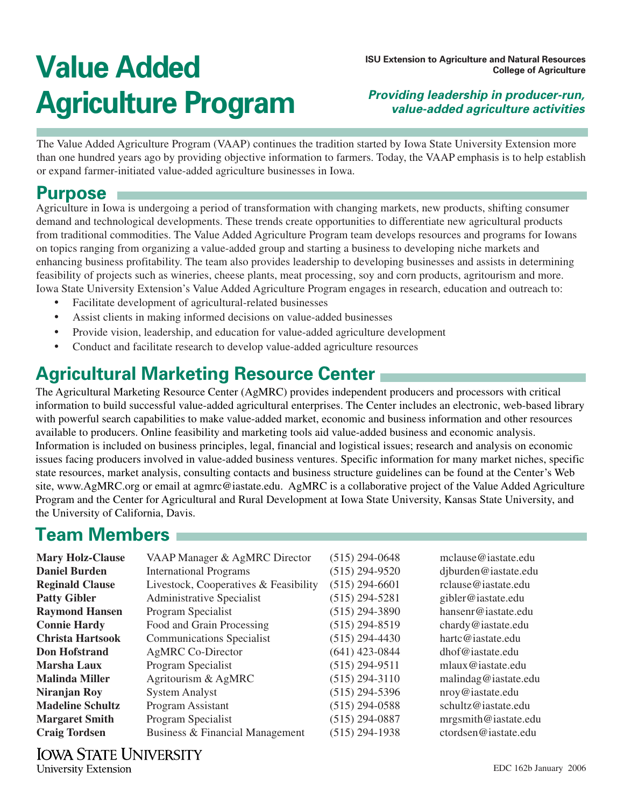# **Value Added Agriculture Program**

**ISU Extension to Agriculture and Natural Resources College of Agriculture**

### **Providing leadership in producer-run, value-added agriculture activities**

The Value Added Agriculture Program (VAAP) continues the tradition started by Iowa State University Extension more than one hundred years ago by providing objective information to farmers. Today, the VAAP emphasis is to help establish or expand farmer-initiated value-added agriculture businesses in Iowa.

## **Purpose**

Agriculture in Iowa is undergoing a period of transformation with changing markets, new products, shifting consumer demand and technological developments. These trends create opportunities to differentiate new agricultural products from traditional commodities. The Value Added Agriculture Program team develops resources and programs for Iowans on topics ranging from organizing a value-added group and starting a business to developing niche markets and enhancing business profitability. The team also provides leadership to developing businesses and assists in determining feasibility of projects such as wineries, cheese plants, meat processing, soy and corn products, agritourism and more. Iowa State University Extension's Value Added Agriculture Program engages in research, education and outreach to:

- Facilitate development of agricultural-related businesses
- Assist clients in making informed decisions on value-added businesses
- Provide vision, leadership, and education for value-added agriculture development
- Conduct and facilitate research to develop value-added agriculture resources

## **Agricultural Marketing Resource Center**

The Agricultural Marketing Resource Center (AgMRC) provides independent producers and processors with critical information to build successful value-added agricultural enterprises. The Center includes an electronic, web-based library with powerful search capabilities to make value-added market, economic and business information and other resources available to producers. Online feasibility and marketing tools aid value-added business and economic analysis. Information is included on business principles, legal, financial and logistical issues; research and analysis on economic issues facing producers involved in value-added business ventures. Specific information for many market niches, specific state resources, market analysis, consulting contacts and business structure guidelines can be found at the Center's Web site, www.AgMRC.org or email at agmrc@iastate.edu. AgMRC is a collaborative project of the Value Added Agriculture Program and the Center for Agricultural and Rural Development at Iowa State University, Kansas State University, and the University of California, Davis.

## **Team Members**

| mclause@iastate.edu  |
|----------------------|
|                      |
| djburden@iastate.edu |
| rclause@iastate.edu  |
| gibler@iastate.edu   |
| hansenr@iastate.edu  |
| chardy@iastate.edu   |
| hartc@iastate.edu    |
| dhof@iastate.edu     |
| mlaux@iastate.edu    |
| malindag@iastate.edu |
| nroy@iastate.edu     |
| schultz@iastate.edu  |
| mrgsmith@iastate.edu |
| ctordsen@iastate.edu |
|                      |

**Reginality** Cooperatives & Feart **Raymond Hansen** Program Specialist (515) 294-3890 hansenr@iastate.edu **Connie Hardy** Food and Grain Processing (515) 294-8519 chardy@iastate.edu dag@iastate.edu mith@iastate.edu **Craig Torich Busis** Business Business & Financial Management (515) *en* @iastate.edu

**IOWA STATE UNIVERSITY University Extension**